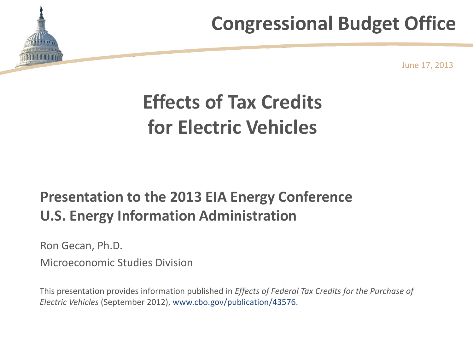

June 17, 2013

# **Effects of Tax Credits for Electric Vehicles**

### **Presentation to the 2013 EIA Energy Conference U.S. Energy Information Administration**

Ron Gecan, Ph.D.

Microeconomic Studies Division

This presentation provides information published in *Effects of Federal Tax Credits for the Purchase of Electric Vehicles* (September 2012), www.cbo.gov/publication/43576.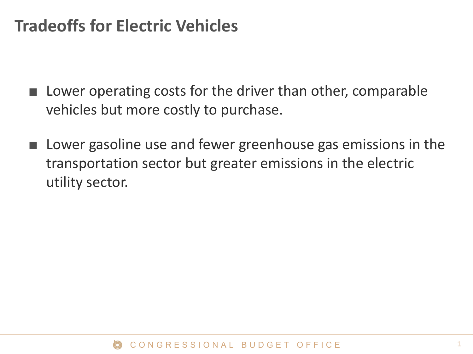- Lower operating costs for the driver than other, comparable vehicles but more costly to purchase.
- Lower gasoline use and fewer greenhouse gas emissions in the transportation sector but greater emissions in the electric utility sector.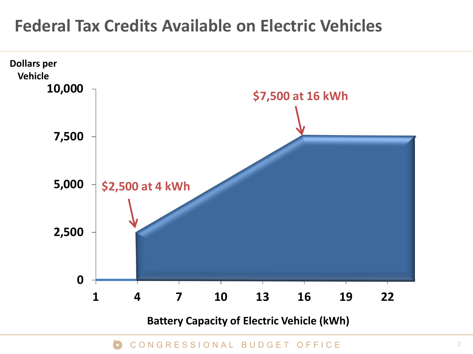### **Federal Tax Credits Available on Electric Vehicles**

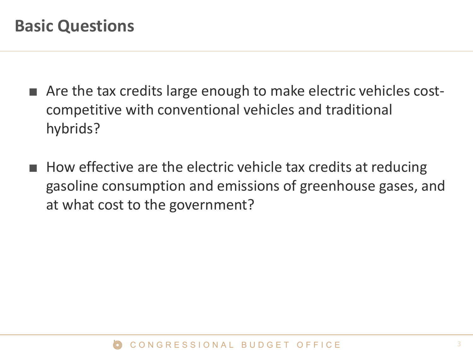- Are the tax credits large enough to make electric vehicles costcompetitive with conventional vehicles and traditional hybrids?
- How effective are the electric vehicle tax credits at reducing gasoline consumption and emissions of greenhouse gases, and at what cost to the government?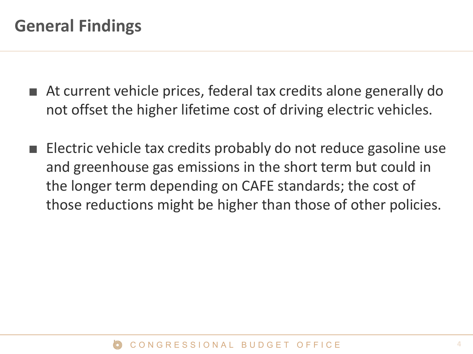- At current vehicle prices, federal tax credits alone generally do not offset the higher lifetime cost of driving electric vehicles.
- Electric vehicle tax credits probably do not reduce gasoline use and greenhouse gas emissions in the short term but could in the longer term depending on CAFE standards; the cost of those reductions might be higher than those of other policies.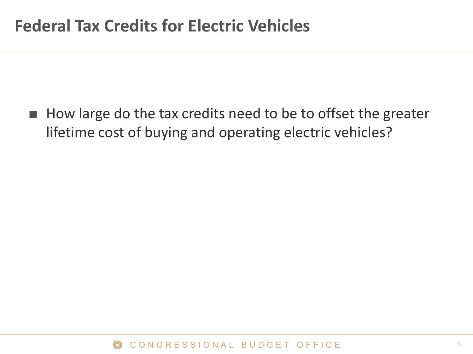■ How large do the tax credits need to be to offset the greater lifetime cost of buying and operating electric vehicles?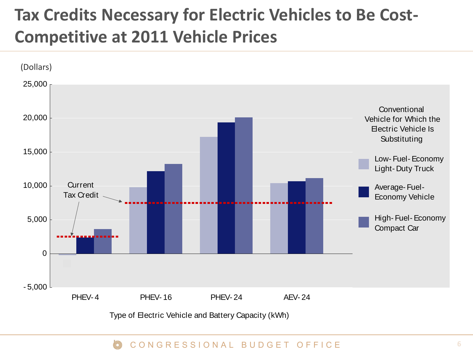### **Tax Credits Necessary for Electric Vehicles to Be Cost-Competitive at 2011 Vehicle Prices**

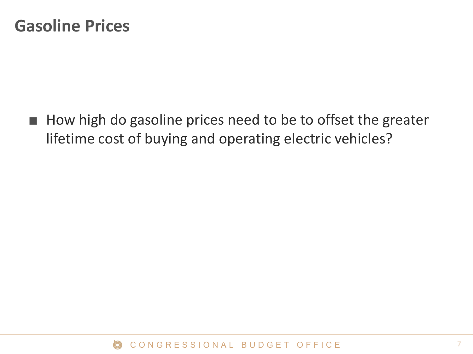■ How high do gasoline prices need to be to offset the greater lifetime cost of buying and operating electric vehicles?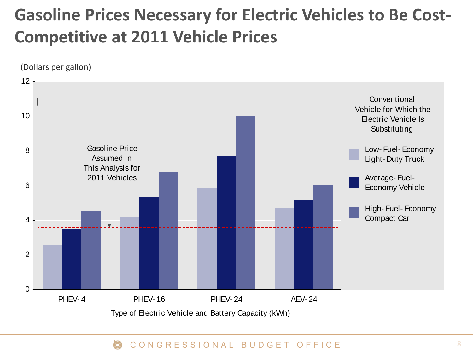## **Gasoline Prices Necessary for Electric Vehicles to Be Cost-Competitive at 2011 Vehicle Prices**

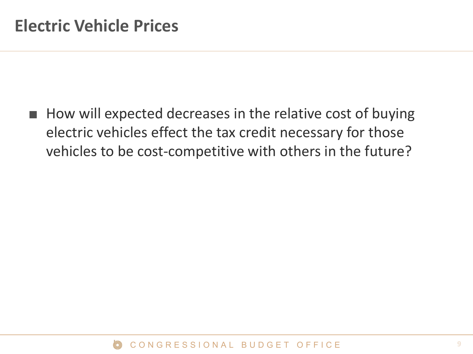■ How will expected decreases in the relative cost of buying electric vehicles effect the tax credit necessary for those vehicles to be cost-competitive with others in the future?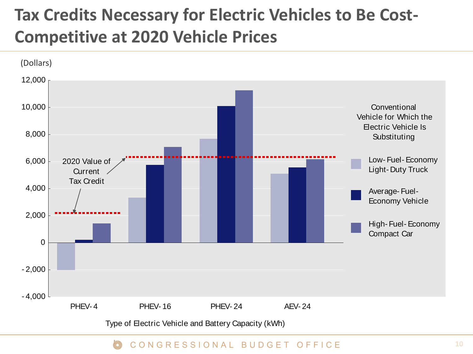### **Tax Credits Necessary for Electric Vehicles to Be Cost-Competitive at 2020 Vehicle Prices**

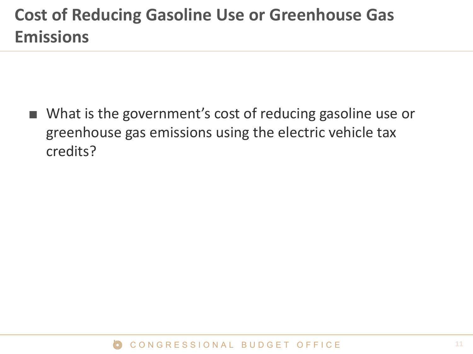### **Cost of Reducing Gasoline Use or Greenhouse Gas Emissions**

■ What is the government's cost of reducing gasoline use or greenhouse gas emissions using the electric vehicle tax credits?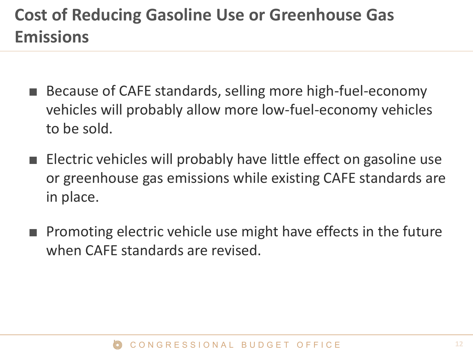### **Cost of Reducing Gasoline Use or Greenhouse Gas Emissions**

- Because of CAFE standards, selling more high-fuel-economy vehicles will probably allow more low-fuel-economy vehicles to be sold.
- Electric vehicles will probably have little effect on gasoline use or greenhouse gas emissions while existing CAFE standards are in place.
- Promoting electric vehicle use might have effects in the future when CAFE standards are revised.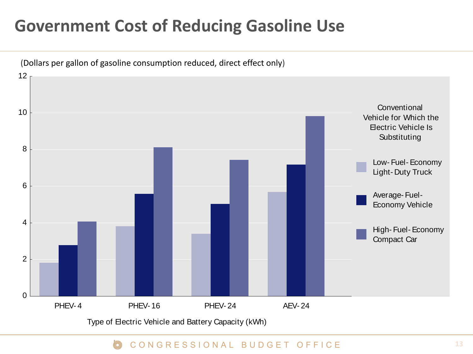### **Government Cost of Reducing Gasoline Use**



Type of Electric Vehicle and Battery Capacity (kWh)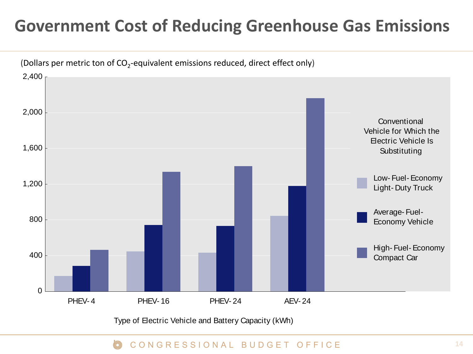### **Government Cost of Reducing Greenhouse Gas Emissions**



Type of Electric Vehicle and Battery Capacity (kWh)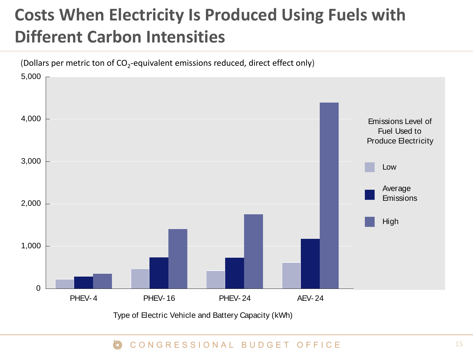## **Costs When Electricity Is Produced Using Fuels with Different Carbon Intensities**

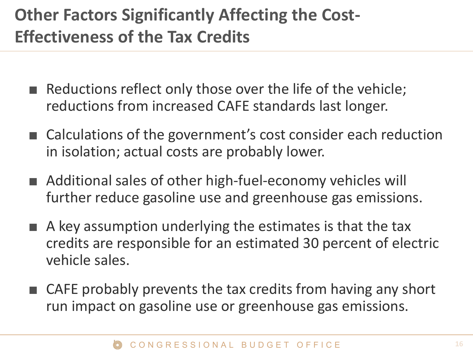## **Other Factors Significantly Affecting the Cost-Effectiveness of the Tax Credits**

- Reductions reflect only those over the life of the vehicle; reductions from increased CAFE standards last longer.
- Calculations of the government's cost consider each reduction in isolation; actual costs are probably lower.
- Additional sales of other high-fuel-economy vehicles will further reduce gasoline use and greenhouse gas emissions.
- $\blacksquare$  A key assumption underlying the estimates is that the tax credits are responsible for an estimated 30 percent of electric vehicle sales.
- CAFE probably prevents the tax credits from having any short run impact on gasoline use or greenhouse gas emissions.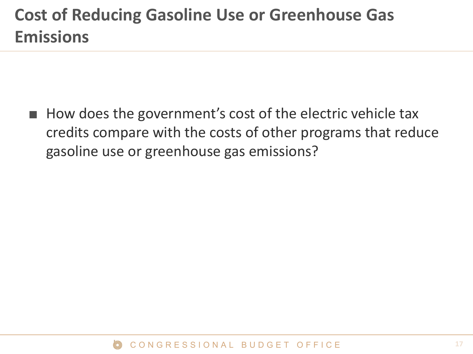### **Cost of Reducing Gasoline Use or Greenhouse Gas Emissions**

■ How does the government's cost of the electric vehicle tax credits compare with the costs of other programs that reduce gasoline use or greenhouse gas emissions?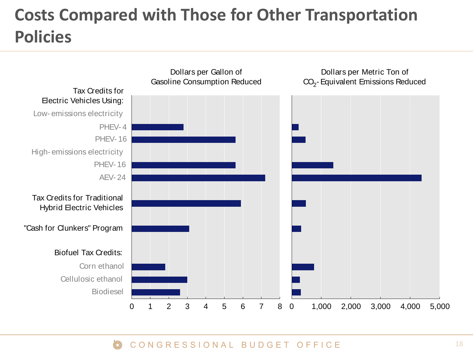## **Costs Compared with Those for Other Transportation Policies**